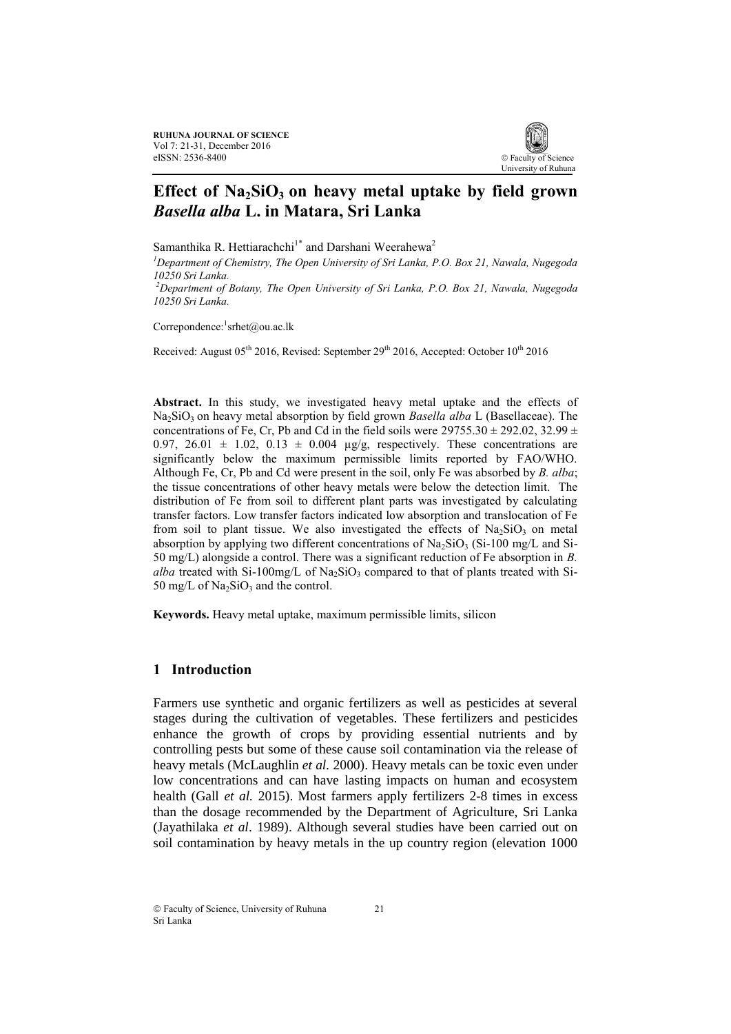**RUHUNA JOURNAL OF SCIENCE** Vol 7: 21-31, December 2016 eISSN: 2536-8400



# **Effect of Na2SiO3 on heavy metal uptake by field grown**  *Basella alba* **L. in Matara, Sri Lanka**

Samanthika R. Hettiarachchi<sup>1\*</sup> and Darshani Weerahewa<sup>2</sup>

*<sup>1</sup>Department of Chemistry, The Open University of Sri Lanka, P.O. Box 21, Nawala, Nugegoda 10250 Sri Lanka.*

*<sup>2</sup>Department of Botany, The Open University of Sri Lanka, P.O. Box 21, Nawala, Nugegoda 10250 Sri Lanka.*

Correpondence: srhet@ou.ac.lk

Received: August  $05<sup>th</sup> 2016$ , Revised: September  $29<sup>th</sup> 2016$ , Accepted: October  $10<sup>th</sup> 2016$ 

**Abstract.** In this study, we investigated heavy metal uptake and the effects of Na<sub>2</sub>SiO<sub>3</sub> on heavy metal absorption by field grown *Basella alba* L (Basellaceae). The concentrations of Fe, Cr, Pb and Cd in the field soils were  $29755.30 \pm 292.02$ ,  $32.99 \pm 10.02$ 0.97, 26.01  $\pm$  1.02, 0.13  $\pm$  0.004 µg/g, respectively. These concentrations are significantly below the maximum permissible limits reported by FAO/WHO. Although Fe, Cr, Pb and Cd were present in the soil, only Fe was absorbed by *B. alba*; the tissue concentrations of other heavy metals were below the detection limit. The distribution of Fe from soil to different plant parts was investigated by calculating transfer factors. Low transfer factors indicated low absorption and translocation of Fe from soil to plant tissue. We also investigated the effects of  $Na<sub>2</sub>SiO<sub>3</sub>$  on metal absorption by applying two different concentrations of  $\text{Na}_2\text{SiO}_3$  (Si-100 mg/L and Si-50 mg/L) alongside a control. There was a significant reduction of Fe absorption in *B. alba* treated with Si-100mg/L of Na<sub>2</sub>SiO<sub>3</sub> compared to that of plants treated with Si-50 mg/L of  $Na<sub>2</sub>SiO<sub>3</sub>$  and the control.

**Keywords.** Heavy metal uptake, maximum permissible limits, silicon

## **1 Introduction**

Farmers use synthetic and organic fertilizers as well as pesticides at several stages during the cultivation of vegetables. These fertilizers and pesticides enhance the growth of crops by providing essential nutrients and by controlling pests but some of these cause soil contamination via the release of heavy metals (McLaughlin *et al.* 2000). Heavy metals can be toxic even under low concentrations and can have lasting impacts on human and ecosystem health (Gall *et al.* 2015). Most farmers apply fertilizers 2-8 times in excess than the dosage recommended by the Department of Agriculture, Sri Lanka (Jayathilaka *et al*. 1989). Although several studies have been carried out on soil contamination by heavy metals in the up country region (elevation 1000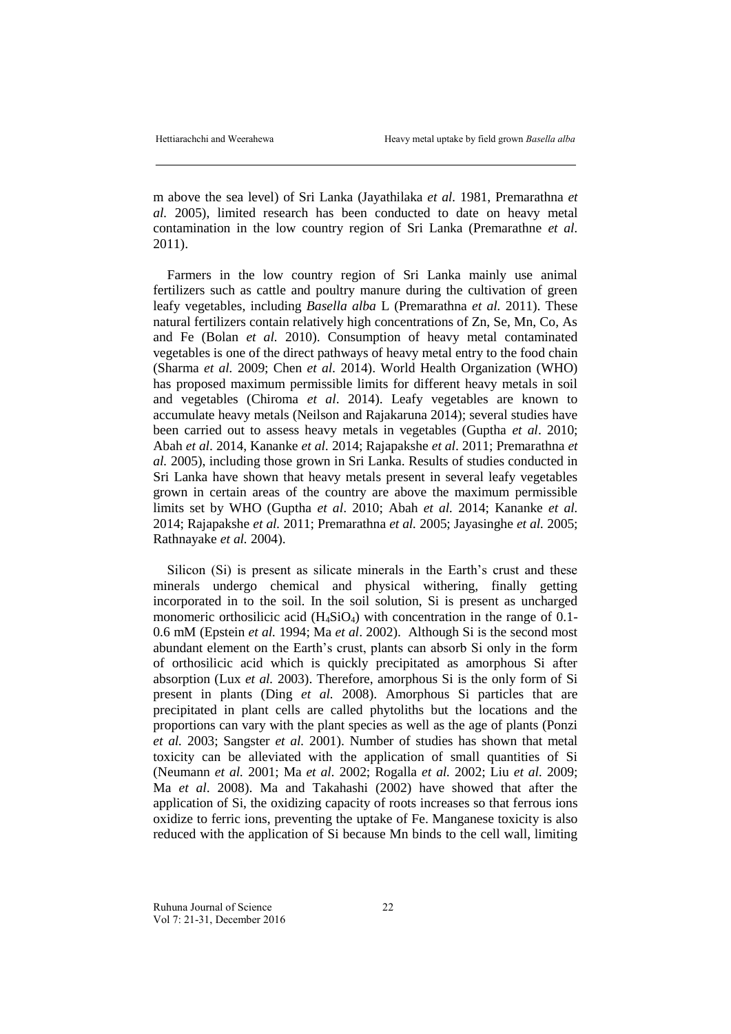m above the sea level) of Sri Lanka (Jayathilaka *et al.* 1981, Premarathna *et al.* 2005), limited research has been conducted to date on heavy metal contamination in the low country region of Sri Lanka (Premarathne *et al.* 2011).

Farmers in the low country region of Sri Lanka mainly use animal fertilizers such as cattle and poultry manure during the cultivation of green leafy vegetables, including *Basella alba* L (Premarathna *et al.* 2011). These natural fertilizers contain relatively high concentrations of Zn, Se, Mn, Co, As and Fe (Bolan *et al.* 2010). Consumption of heavy metal contaminated vegetables is one of the direct pathways of heavy metal entry to the food chain (Sharma *et al.* 2009; Chen *et al.* 2014). World Health Organization (WHO) has proposed maximum permissible limits for different heavy metals in soil and vegetables (Chiroma *et al*. 2014). Leafy vegetables are known to accumulate heavy metals (Neilson and Rajakaruna 2014); several studies have been carried out to assess heavy metals in vegetables (Guptha *et al*. 2010; Abah *et al*. 2014, Kananke *et al.* 2014; Rajapakshe *et al*. 2011; Premarathna *et al.* 2005), including those grown in Sri Lanka. Results of studies conducted in Sri Lanka have shown that heavy metals present in several leafy vegetables grown in certain areas of the country are above the maximum permissible limits set by WHO (Guptha *et al*. 2010; Abah *et al.* 2014; Kananke *et al.* 2014; Rajapakshe *et al.* 2011; Premarathna *et al.* 2005; Jayasinghe *et al.* 2005; Rathnayake *et al.* 2004).

Silicon (Si) is present as silicate minerals in the Earth's crust and these minerals undergo chemical and physical withering, finally getting incorporated in to the soil. In the soil solution, Si is present as uncharged monomeric orthosilicic acid  $(H_4SiO_4)$  with concentration in the range of 0.1-0.6 mM (Epstein *et al.* 1994; Ma *et al*. 2002). Although Si is the second most abundant element on the Earth's crust, plants can absorb Si only in the form of orthosilicic acid which is quickly precipitated as amorphous Si after absorption (Lux *et al.* 2003). Therefore, amorphous Si is the only form of Si present in plants (Ding *et al.* 2008). Amorphous Si particles that are precipitated in plant cells are called phytoliths but the locations and the proportions can vary with the plant species as well as the age of plants (Ponzi *et al.* 2003; Sangster *et al.* 2001). Number of studies has shown that metal toxicity can be alleviated with the application of small quantities of Si (Neumann *et al.* 2001; Ma *et al.* 2002; Rogalla *et al.* 2002; Liu *et al.* 2009; Ma *et al*. 2008). Ma and Takahashi (2002) have showed that after the application of Si, the oxidizing capacity of roots increases so that ferrous ions oxidize to ferric ions, preventing the uptake of Fe. Manganese toxicity is also reduced with the application of Si because Mn binds to the cell wall, limiting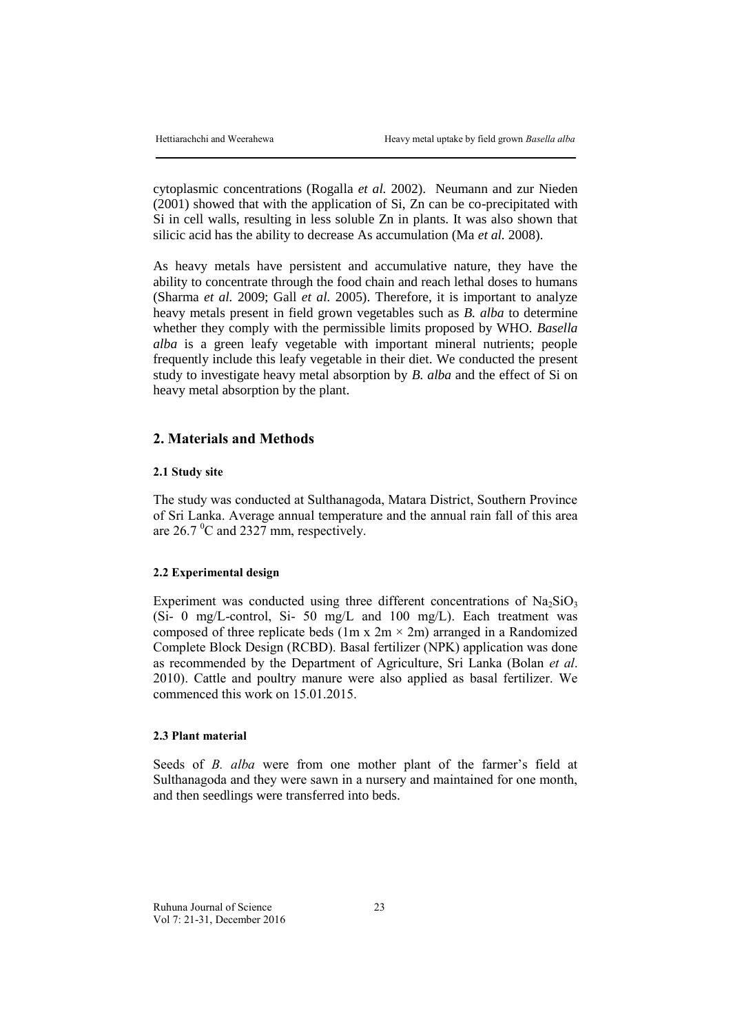cytoplasmic concentrations (Rogalla *et al.* 2002). Neumann and zur Nieden (2001) showed that with the application of Si, Zn can be co-precipitated with Si in cell walls, resulting in less soluble Zn in plants. It was also shown that silicic acid has the ability to decrease As accumulation (Ma *et al.* 2008).

As heavy metals have persistent and accumulative nature, they have the ability to concentrate through the food chain and reach lethal doses to humans (Sharma *et al.* 2009; Gall *et al.* 2005). Therefore, it is important to analyze heavy metals present in field grown vegetables such as *B. alba* to determine whether they comply with the permissible limits proposed by WHO. *Basella alba* is a green leafy vegetable with important mineral nutrients; people frequently include this leafy vegetable in their diet. We conducted the present study to investigate heavy metal absorption by *B. alba* and the effect of Si on heavy metal absorption by the plant.

## **2. Materials and Methods**

#### **2.1 Study site**

The study was conducted at Sulthanagoda, Matara District, Southern Province of Sri Lanka. Average annual temperature and the annual rain fall of this area are  $26.7 \text{ °C}$  and  $2327 \text{ mm}$ , respectively.

#### **2.2 Experimental design**

Experiment was conducted using three different concentrations of  $\text{Na}_2\text{SiO}_3$ (Si- 0 mg/L-control, Si- 50 mg/L and 100 mg/L). Each treatment was composed of three replicate beds (1m x  $2m \times 2m$ ) arranged in a Randomized Complete Block Design (RCBD). Basal fertilizer (NPK) application was done as recommended by the Department of Agriculture, Sri Lanka (Bolan *et al*. 2010). Cattle and poultry manure were also applied as basal fertilizer. We commenced this work on 15.01.2015.

## **2.3 Plant material**

Seeds of *B. alba* were from one mother plant of the farmer's field at Sulthanagoda and they were sawn in a nursery and maintained for one month, and then seedlings were transferred into beds.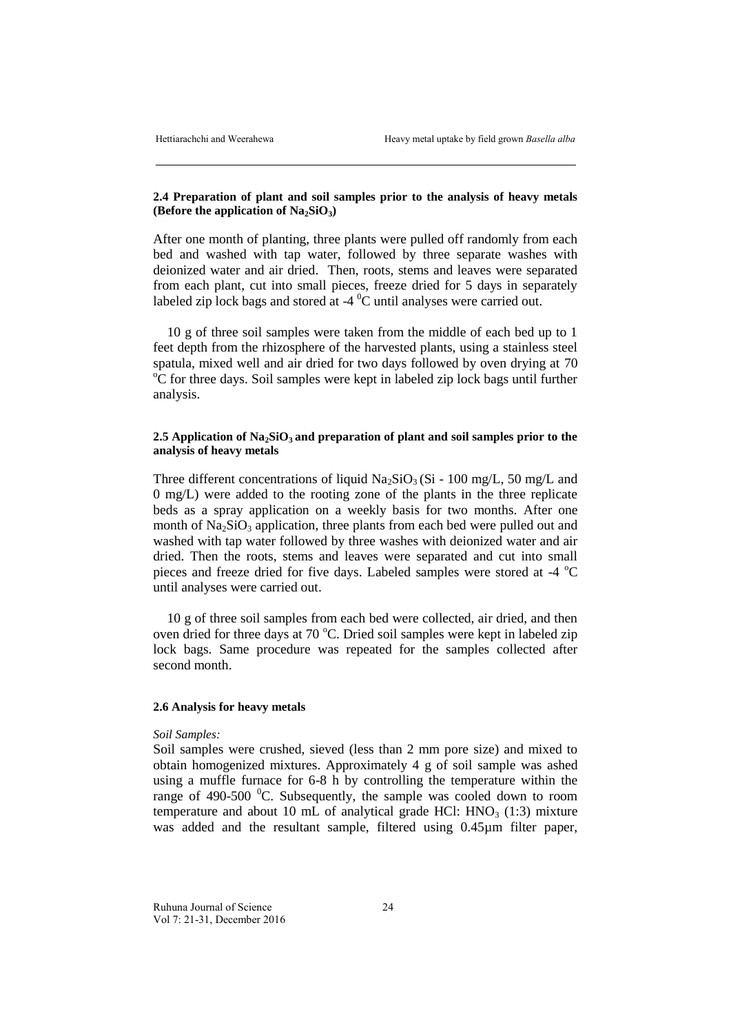## **2.4 Preparation of plant and soil samples prior to the analysis of heavy metals (Before the application of Na2SiO3)**

After one month of planting, three plants were pulled off randomly from each bed and washed with tap water, followed by three separate washes with deionized water and air dried. Then, roots, stems and leaves were separated from each plant, cut into small pieces, freeze dried for 5 days in separately labeled zip lock bags and stored at  $-4$  °C until analyses were carried out.

10 g of three soil samples were taken from the middle of each bed up to 1 feet depth from the rhizosphere of the harvested plants, using a stainless steel spatula, mixed well and air dried for two days followed by oven drying at 70  $\rm{^oC}$  for three days. Soil samples were kept in labeled zip lock bags until further analysis.

## **2.5 Application of Na2SiO3 and preparation of plant and soil samples prior to the analysis of heavy metals**

Three different concentrations of liquid  $Na<sub>2</sub>SiO<sub>3</sub>(Si - 100 mg/L, 50 mg/L, and$ 0 mg/L) were added to the rooting zone of the plants in the three replicate beds as a spray application on a weekly basis for two months. After one month of  $Na<sub>2</sub>SiO<sub>3</sub>$  application, three plants from each bed were pulled out and washed with tap water followed by three washes with deionized water and air dried. Then the roots, stems and leaves were separated and cut into small pieces and freeze dried for five days. Labeled samples were stored at -4 °C until analyses were carried out.

10 g of three soil samples from each bed were collected, air dried, and then oven dried for three days at 70  $^{\circ}$ C. Dried soil samples were kept in labeled zip lock bags. Same procedure was repeated for the samples collected after second month.

#### **2.6 Analysis for heavy metals**

#### *Soil Samples:*

Soil samples were crushed, sieved (less than 2 mm pore size) and mixed to obtain homogenized mixtures. Approximately 4 g of soil sample was ashed using a muffle furnace for 6-8 h by controlling the temperature within the range of 490-500  $\mathrm{^0C}$ . Subsequently, the sample was cooled down to room temperature and about 10 mL of analytical grade HCl:  $HNO<sub>3</sub>$  (1:3) mixture was added and the resultant sample, filtered using 0.45µm filter paper,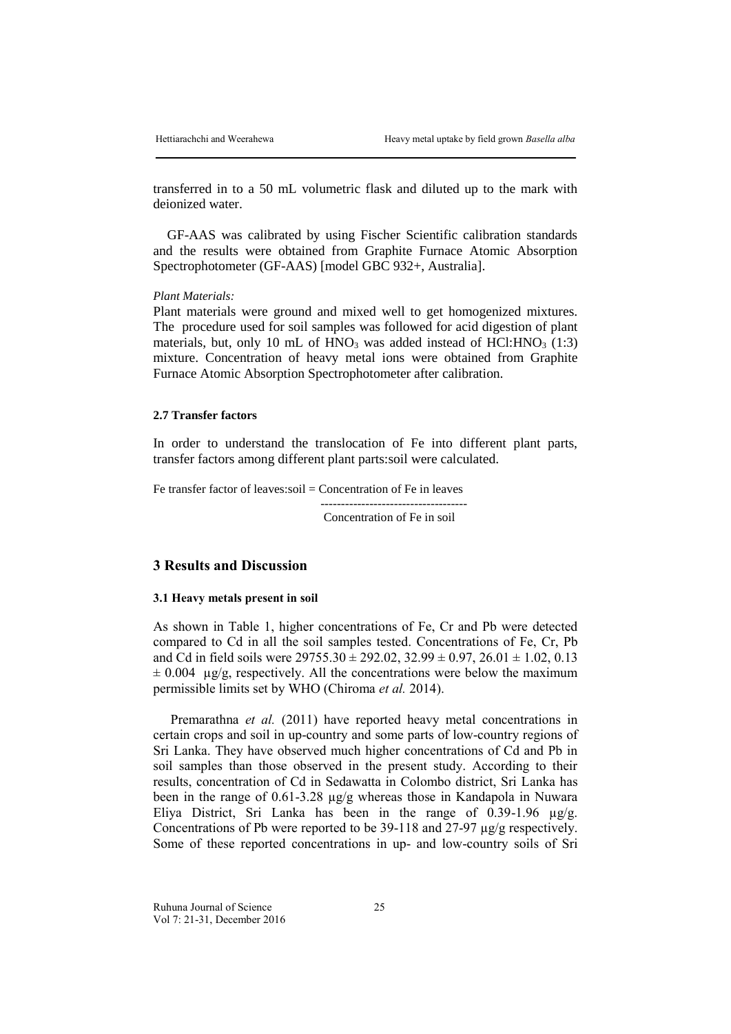transferred in to a 50 mL volumetric flask and diluted up to the mark with deionized water.

GF-AAS was calibrated by using Fischer Scientific calibration standards and the results were obtained from Graphite Furnace Atomic Absorption Spectrophotometer (GF-AAS) [model GBC 932+, Australia].

*Plant Materials:*

Plant materials were ground and mixed well to get homogenized mixtures. The procedure used for soil samples was followed for acid digestion of plant materials, but, only 10 mL of  $HNO<sub>3</sub>$  was added instead of HCl: $HNO<sub>3</sub>$  (1:3) mixture. Concentration of heavy metal ions were obtained from Graphite Furnace Atomic Absorption Spectrophotometer after calibration.

#### **2.7 Transfer factors**

In order to understand the translocation of Fe into different plant parts, transfer factors among different plant parts:soil were calculated.

Fe transfer factor of leaves:soil = Concentration of Fe in leaves ------------------------------------ Concentration of Fe in soil

## **3 Results and Discussion**

#### **3.1 Heavy metals present in soil**

As shown in Table 1, higher concentrations of Fe, Cr and Pb were detected compared to Cd in all the soil samples tested. Concentrations of Fe, Cr, Pb and Cd in field soils were  $29755.30 \pm 292.02$ ,  $32.99 \pm 0.97$ ,  $26.01 \pm 1.02$ ,  $0.13$  $\pm$  0.004 µg/g, respectively. All the concentrations were below the maximum permissible limits set by WHO (Chiroma *et al.* 2014).

Premarathna *et al.* (2011) have reported heavy metal concentrations in certain crops and soil in up-country and some parts of low-country regions of Sri Lanka. They have observed much higher concentrations of Cd and Pb in soil samples than those observed in the present study. According to their results, concentration of Cd in Sedawatta in Colombo district, Sri Lanka has been in the range of 0.61-3.28 µg/g whereas those in Kandapola in Nuwara Eliya District, Sri Lanka has been in the range of 0.39-1.96  $\mu$ g/g. Concentrations of Pb were reported to be 39-118 and 27-97 µg/g respectively. Some of these reported concentrations in up- and low-country soils of Sri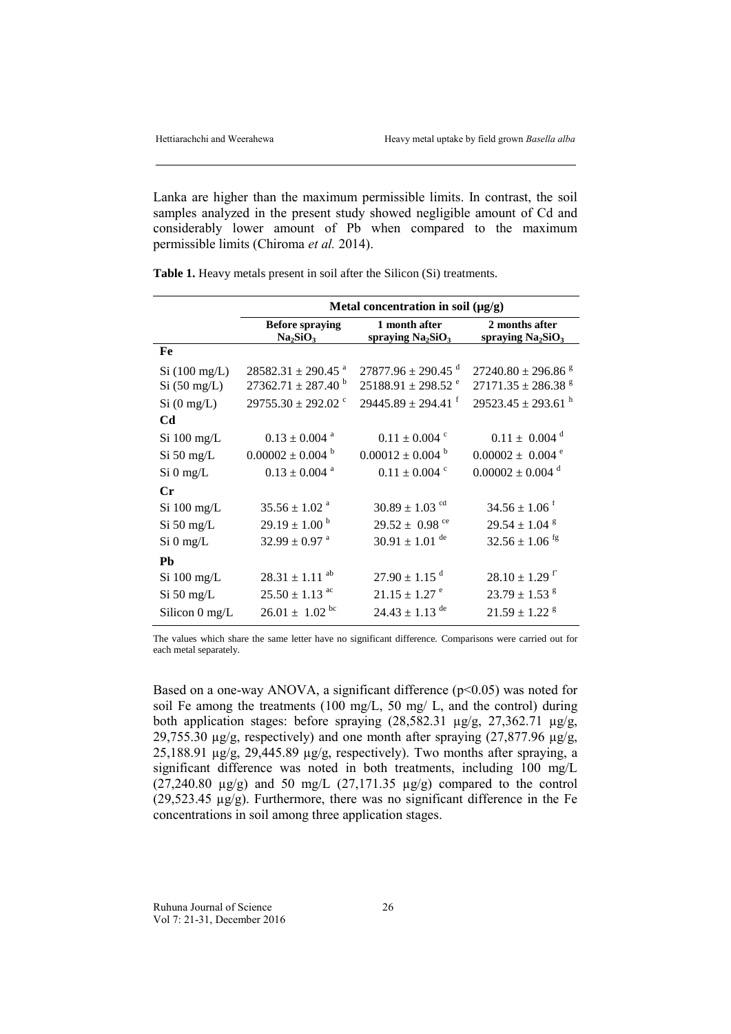Lanka are higher than the maximum permissible limits. In contrast, the soil samples analyzed in the present study showed negligible amount of Cd and considerably lower amount of Pb when compared to the maximum permissible limits (Chiroma *et al.* 2014).

|                             | Metal concentration in soil $(\mu g/g)$                             |                                                                          |                                                    |
|-----------------------------|---------------------------------------------------------------------|--------------------------------------------------------------------------|----------------------------------------------------|
|                             | <b>Before spraying</b><br>Na <sub>2</sub> SiO <sub>3</sub>          | 1 month after<br>spraying $Na2SiO3$                                      | 2 months after<br>spraying $Na2SiO3$               |
| Fe                          |                                                                     |                                                                          |                                                    |
| Si(100 mg/L)<br>Si(50 mg/L) | $28582.31 \pm 290.45$ <sup>a</sup><br>$27362.71 \pm 287.40^{\circ}$ | $27877.96 \pm 290.45$ <sup>d</sup><br>$25188.91 \pm 298.52$ <sup>e</sup> | $27240.80 \pm 296.86$ s<br>$27171.35 \pm 286.38$ s |
| $Si$ (0 mg/L)               | $29755.30 \pm 292.02$ °                                             | $29445.89 \pm 294.41$ <sup>f</sup>                                       | $29523.45 \pm 293.61$ <sup>h</sup>                 |
| <b>Cd</b>                   |                                                                     |                                                                          |                                                    |
| $Si$ 100 mg/L               | $0.13 \pm 0.004$ <sup>a</sup>                                       | $0.11 \pm 0.004$ <sup>c</sup>                                            | $0.11 \pm 0.004$ <sup>d</sup>                      |
| $Si$ 50 mg/L                | $0.00002 \pm 0.004$ <sup>b</sup>                                    | $0.00012 \pm 0.004$ <sup>b</sup>                                         | $0.00002 \pm 0.004$ <sup>e</sup>                   |
| $Si$ 0 mg/L                 | $0.13 \pm 0.004$ <sup>a</sup>                                       | $0.11 \pm 0.004$ <sup>c</sup>                                            | $0.00002 \pm 0.004$ <sup>d</sup>                   |
| $C_{r}$                     |                                                                     |                                                                          |                                                    |
| Si 100 mg/L                 | $35.56 \pm 1.02$ <sup>a</sup>                                       | $30.89 \pm 1.03$ <sup>cd</sup>                                           | $34.56 \pm 1.06$ <sup>f</sup>                      |
| $Si$ 50 mg/L                | $29.19 \pm 1.00^{\circ}$                                            | 29.52 $\pm$ 0.98 <sup>ce</sup>                                           | $29.54 \pm 1.04$ <sup>g</sup>                      |
| $Si$ 0 mg/L                 | $32.99 \pm 0.97$ <sup>a</sup>                                       | $30.91 \pm 1.01$ <sup>de</sup>                                           | $32.56 \pm 1.06$ <sup>fg</sup>                     |
| Pb                          |                                                                     |                                                                          |                                                    |
| $Si$ 100 mg/L               | $28.31 \pm 1.11$ <sup>ab</sup>                                      | $27.90 \pm 1.15$ <sup>d</sup>                                            | $28.10 \pm 1.29$ f                                 |
| Si 50 mg/L                  | $25.50 \pm 1.13$ <sup>ac</sup>                                      | $21.15 \pm 1.27$ <sup>e</sup>                                            | $23.79 \pm 1.53$ s                                 |
| Silicon 0 mg/L              | $26.01 \pm 1.02^{bc}$                                               | $24.43 \pm 1.13$ <sup>de</sup>                                           | $21.59 \pm 1.22$ <sup>g</sup>                      |

**Table 1.** Heavy metals present in soil after the Silicon (Si) treatments.

The values which share the same letter have no significant difference. Comparisons were carried out for each metal separately.

Based on a one-way ANOVA, a significant difference  $(p<0.05)$  was noted for soil Fe among the treatments (100 mg/L, 50 mg/ L, and the control) during both application stages: before spraying  $(28,582.31 \text{ µg/g}, 27,362.71 \text{ µg/g},$ 29,755.30  $\mu$ g/g, respectively) and one month after spraying (27,877.96  $\mu$ g/g, 25,188.91  $\mu$ g/g, 29,445.89  $\mu$ g/g, respectively). Two months after spraying, a significant difference was noted in both treatments, including 100 mg/L  $(27,240.80 \text{ µg/g})$  and 50 mg/L  $(27,171.35 \text{ µg/g})$  compared to the control (29,523.45 µg/g). Furthermore, there was no significant difference in the Fe concentrations in soil among three application stages.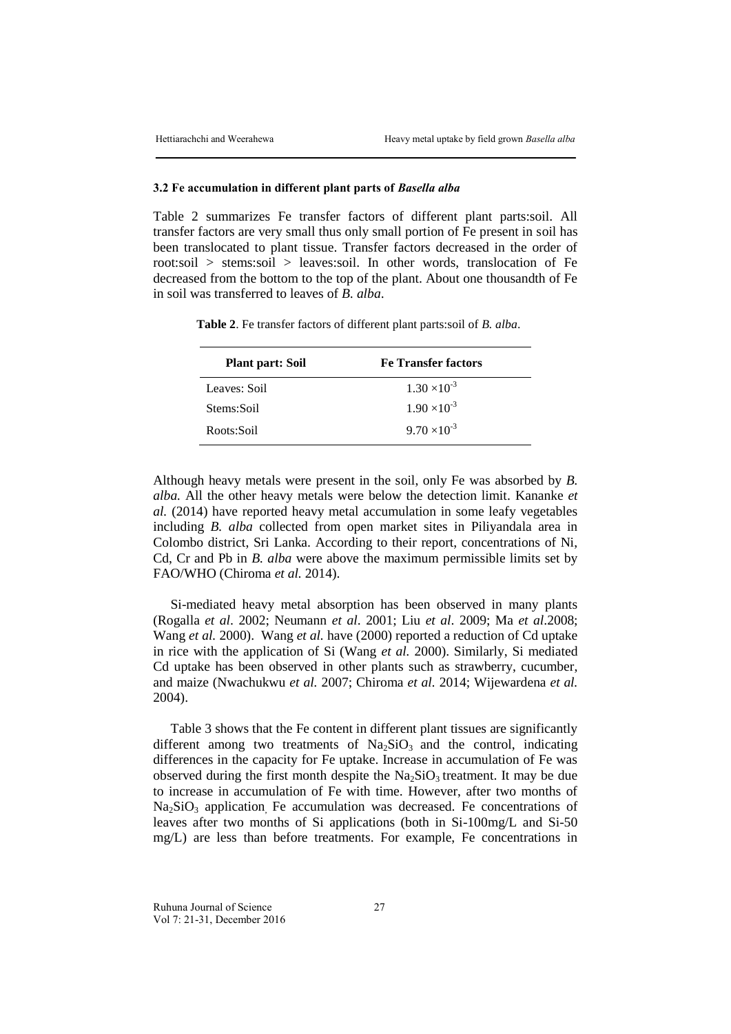#### **3.2 Fe accumulation in different plant parts of** *Basella alba*

Table 2 summarizes Fe transfer factors of different plant parts:soil. All transfer factors are very small thus only small portion of Fe present in soil has been translocated to plant tissue. Transfer factors decreased in the order of root:soil > stems:soil > leaves:soil. In other words, translocation of Fe decreased from the bottom to the top of the plant. About one thousandth of Fe in soil was transferred to leaves of *B. alba*.

**Plant part: Soil Fe Transfer factors** Leaves: Soil  $1.30 \times 10^{-3}$ Stems:Soil  $1.90 \times 10^{-3}$ Roots:Soil 9.70  $\times 10^{-3}$ 

**Table 2**. Fe transfer factors of different plant parts:soil of *B. alba*.

Although heavy metals were present in the soil, only Fe was absorbed by *B. alba.* All the other heavy metals were below the detection limit. Kananke *et al.* (2014) have reported heavy metal accumulation in some leafy vegetables including *B. alba* collected from open market sites in Piliyandala area in Colombo district, Sri Lanka. According to their report, concentrations of Ni, Cd, Cr and Pb in *B. alba* were above the maximum permissible limits set by FAO/WHO (Chiroma *et al.* 2014).

Si-mediated heavy metal absorption has been observed in many plants (Rogalla *et al*. 2002; Neumann *et al*. 2001; Liu *et al*. 2009; Ma *et al*.2008; Wang *et al.* 2000). Wang *et al.* have (2000) reported a reduction of Cd uptake in rice with the application of Si (Wang *et al.* 2000). Similarly, Si mediated Cd uptake has been observed in other plants such as strawberry, cucumber, and maize (Nwachukwu *et al.* 2007; Chiroma *et al.* 2014; Wijewardena *et al.* 2004).

Table 3 shows that the Fe content in different plant tissues are significantly different among two treatments of  $Na<sub>2</sub>SiO<sub>3</sub>$  and the control, indicating differences in the capacity for Fe uptake. Increase in accumulation of Fe was observed during the first month despite the  $Na<sub>2</sub>SiO<sub>3</sub>$  treatment. It may be due to increase in accumulation of Fe with time. However, after two months of  $Na<sub>2</sub>SiO<sub>3</sub>$  application. Fe accumulation was decreased. Fe concentrations of leaves after two months of Si applications (both in Si-100mg/L and Si-50 mg/L) are less than before treatments. For example, Fe concentrations in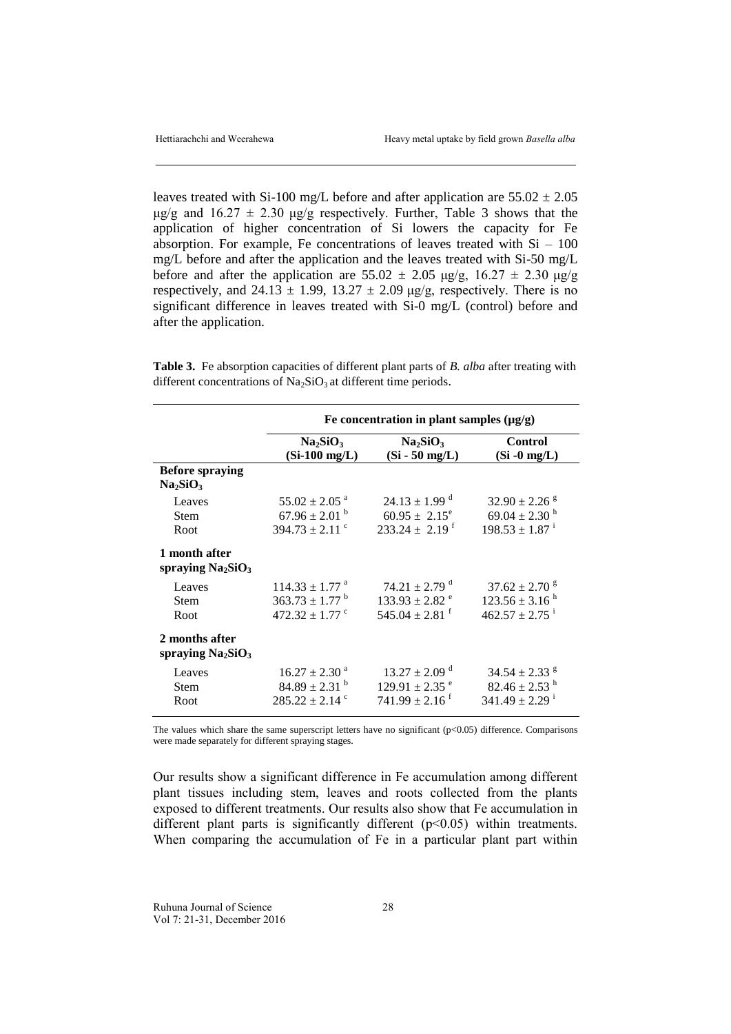leaves treated with Si-100 mg/L before and after application are  $55.02 \pm 2.05$ μg/g and  $16.27 \pm 2.30$  μg/g respectively. Further, Table 3 shows that the application of higher concentration of Si lowers the capacity for Fe absorption. For example, Fe concentrations of leaves treated with  $Si - 100$ mg/L before and after the application and the leaves treated with Si-50 mg/L before and after the application are  $55.02 \pm 2.05$  μg/g,  $16.27 \pm 2.30$  μg/g respectively, and  $24.13 \pm 1.99$ ,  $13.27 \pm 2.09$  μg/g, respectively. There is no significant difference in leaves treated with Si-0 mg/L (control) before and after the application.

**Table 3.** Fe absorption capacities of different plant parts of *B. alba* after treating with different concentrations of  $Na<sub>2</sub>SiO<sub>3</sub>$  at different time periods.

|                                                            | Fe concentration in plant samples $(\mu g/g)$               |                                                      |                                   |
|------------------------------------------------------------|-------------------------------------------------------------|------------------------------------------------------|-----------------------------------|
|                                                            | Na <sub>2</sub> SiO <sub>3</sub><br>$(Si-100 \text{ mg/L})$ | Na <sub>2</sub> SiO <sub>3</sub><br>$(Si - 50$ mg/L) | <b>Control</b><br>$(Si - 0 mg/L)$ |
| <b>Before spraying</b><br>Na <sub>2</sub> SiO <sub>3</sub> |                                                             |                                                      |                                   |
| Leaves                                                     | $55.02 \pm 2.05$ <sup>a</sup>                               | $24.13 \pm 1.99$ <sup>d</sup>                        | $32.90 \pm 2.26$ s                |
| <b>Stem</b>                                                | $67.96 \pm 2.01$ <sup>b</sup>                               | $60.95 \pm 2.15^e$                                   | $69.04 \pm 2.30$ <sup>h</sup>     |
| Root                                                       | $394.73 \pm 2.11$ °                                         | $233.24 \pm 2.19$ <sup>f</sup>                       | $198.53 \pm 1.87$ <sup>i</sup>    |
| 1 month after<br>spraying $Na2SiO3$                        |                                                             |                                                      |                                   |
| Leaves                                                     | $114.33 \pm 1.77$ <sup>a</sup>                              | $74.21 \pm 2.79$ <sup>d</sup>                        | $37.62 \pm 2.70$ s                |
| Stem                                                       | $363.73 \pm 1.77$ <sup>b</sup>                              | $133.93 \pm 2.82$ <sup>e</sup>                       | $123.56 \pm 3.16^{\text{h}}$      |
| Root                                                       | 472.32 $\pm$ 1.77 $\degree$                                 | $545.04 \pm 2.81$ <sup>f</sup>                       | $462.57 \pm 2.75$ <sup>i</sup>    |
| 2 months after<br>spraying $Na2SiO3$                       |                                                             |                                                      |                                   |
| Leaves                                                     | $16.27 \pm 2.30$ <sup>a</sup>                               | $13.27 \pm 2.09$ <sup>d</sup>                        | $34.54 \pm 2.33$ <sup>g</sup>     |
| <b>Stem</b>                                                | $84.89 \pm 2.31$ <sup>b</sup>                               | $129.91 \pm 2.35$ <sup>e</sup>                       | $82.46 \pm 2.53$ <sup>h</sup>     |
| Root                                                       | $285.22 \pm 2.14$ <sup>c</sup>                              | $741.99 \pm 2.16$ <sup>f</sup>                       | $341.49 \pm 2.29$ <sup>i</sup>    |

The values which share the same superscript letters have no significant (p<0.05) difference. Comparisons were made separately for different spraying stages.

Our results show a significant difference in Fe accumulation among different plant tissues including stem, leaves and roots collected from the plants exposed to different treatments. Our results also show that Fe accumulation in different plant parts is significantly different  $(p<0.05)$  within treatments. When comparing the accumulation of Fe in a particular plant part within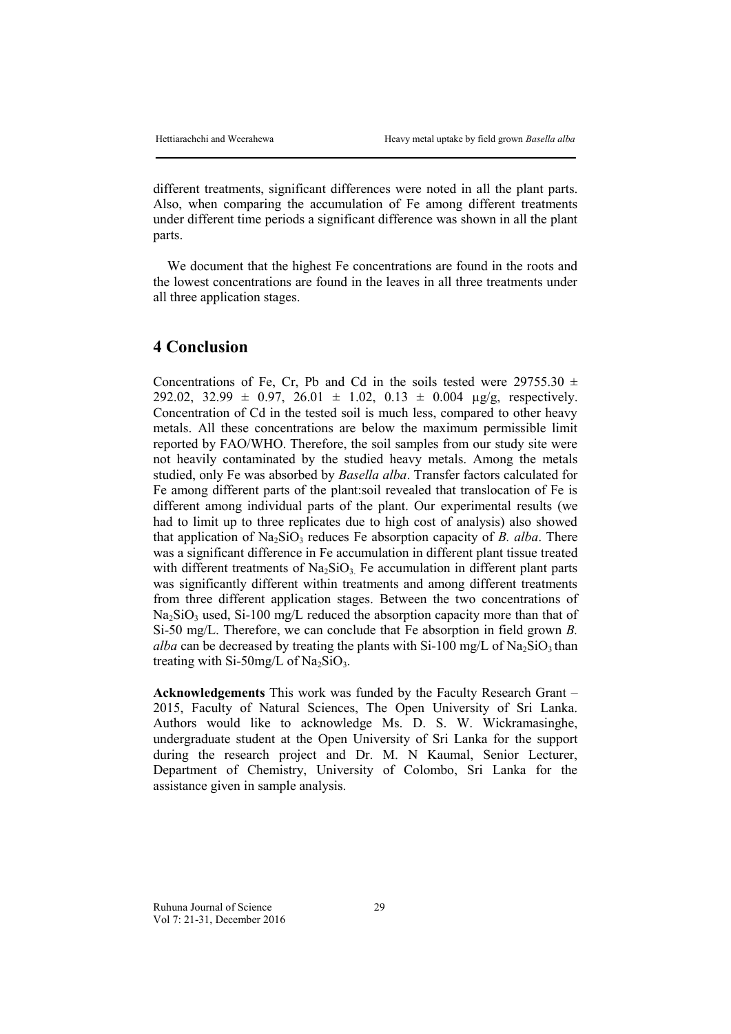different treatments, significant differences were noted in all the plant parts. Also, when comparing the accumulation of Fe among different treatments under different time periods a significant difference was shown in all the plant parts.

We document that the highest Fe concentrations are found in the roots and the lowest concentrations are found in the leaves in all three treatments under all three application stages.

# **4 Conclusion**

Concentrations of Fe, Cr, Pb and Cd in the soils tested were 29755.30  $\pm$ 292.02, 32.99  $\pm$  0.97, 26.01  $\pm$  1.02, 0.13  $\pm$  0.004 µg/g, respectively. Concentration of Cd in the tested soil is much less, compared to other heavy metals. All these concentrations are below the maximum permissible limit reported by FAO/WHO. Therefore, the soil samples from our study site were not heavily contaminated by the studied heavy metals. Among the metals studied, only Fe was absorbed by *Basella alba*. Transfer factors calculated for Fe among different parts of the plant:soil revealed that translocation of Fe is different among individual parts of the plant. Our experimental results (we had to limit up to three replicates due to high cost of analysis) also showed that application of  $Na<sub>2</sub>SiO<sub>3</sub>$  reduces Fe absorption capacity of *B. alba*. There was a significant difference in Fe accumulation in different plant tissue treated with different treatments of  $Na<sub>2</sub>SiO<sub>3</sub>$ . Fe accumulation in different plant parts was significantly different within treatments and among different treatments from three different application stages. Between the two concentrations of  $Na<sub>2</sub>SiO<sub>3</sub>$  used, Si-100 mg/L reduced the absorption capacity more than that of Si-50 mg/L. Therefore, we can conclude that Fe absorption in field grown *B. alba* can be decreased by treating the plants with Si-100 mg/L of  $Na<sub>2</sub>SiO<sub>3</sub>$  than treating with Si-50mg/L of  $Na<sub>2</sub>SiO<sub>3</sub>$ .

**Acknowledgements** This work was funded by the Faculty Research Grant – 2015, Faculty of Natural Sciences, The Open University of Sri Lanka. Authors would like to acknowledge Ms. D. S. W. Wickramasinghe, undergraduate student at the Open University of Sri Lanka for the support during the research project and Dr. M. N Kaumal, Senior Lecturer, Department of Chemistry, University of Colombo, Sri Lanka for the assistance given in sample analysis.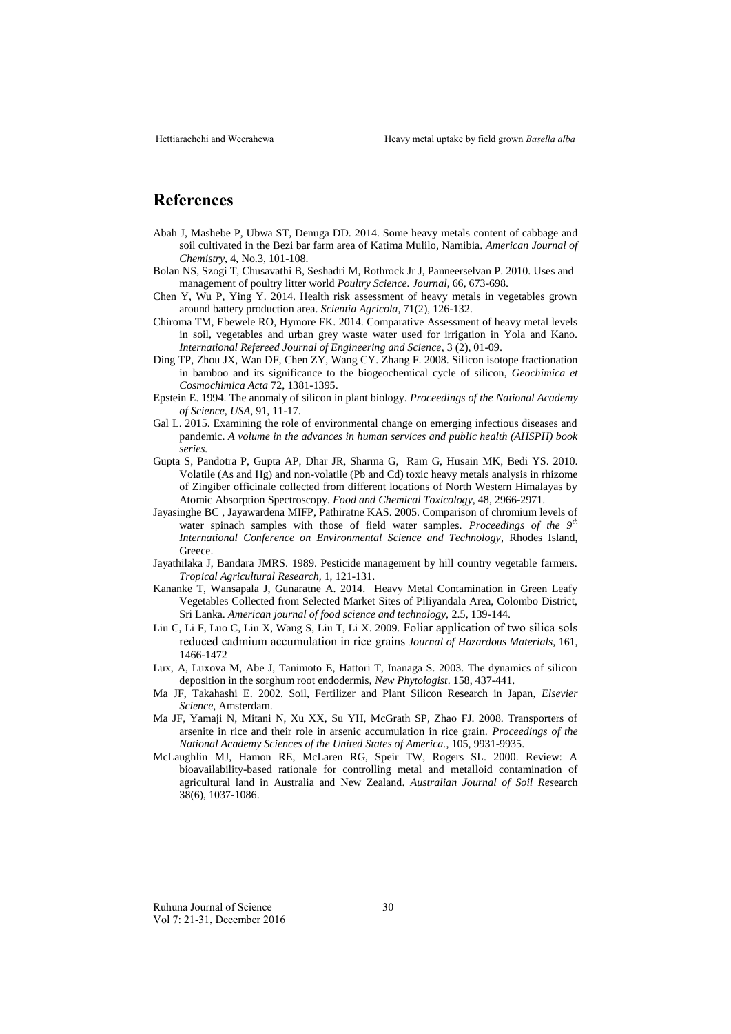## **References**

- Abah J, Mashebe P, Ubwa ST, Denuga DD. 2014. Some heavy metals content of cabbage and soil cultivated in the Bezi bar farm area of Katima Mulilo, Namibia. *American Journal of Chemistry*, 4, No.3, 101-108.
- Bolan NS, Szogi T, Chusavathi B, Seshadri M, Rothrock Jr J, Panneerselvan P. 2010. Uses and management of poultry litter world *Poultry Science. Journal*, 66, 673-698.
- Chen Y, Wu P, Ying Y. 2014. Health risk assessment of heavy metals in vegetables grown around battery production area. *Scientia Agricola*, 71(2), 126-132.
- Chiroma TM, Ebewele RO, Hymore FK. 2014. Comparative Assessment of heavy metal levels in soil, vegetables and urban grey waste water used for irrigation in Yola and Kano. *International Refereed Journal of Engineering and Science,* 3 (2), 01-09.
- Ding TP, Zhou JX, Wan DF, Chen ZY, Wang CY. Zhang F. 2008. Silicon isotope fractionation in bamboo and its significance to the biogeochemical cycle of silicon, *Geochimica et Cosmochimica Acta* 72, 1381-1395.
- Epstein E. 1994. The anomaly of silicon in plant biology. *Proceedings of the National Academy of Science, USA*, 91, 11-17.
- Gal L. 2015. Examining the role of environmental change on emerging infectious diseases and pandemic. *A volume in the advances in human services and public health (AHSPH) book series.*
- Gupta S, Pandotra P, Gupta AP, Dhar JR, Sharma G, Ram G, Husain MK, Bedi YS. 2010. Volatile (As and Hg) and non-volatile (Pb and Cd) toxic heavy metals analysis in rhizome of Zingiber officinale collected from different locations of North Western Himalayas by Atomic Absorption Spectroscopy. *Food and Chemical Toxicology*, 48, 2966-2971.
- Jayasinghe BC , Jayawardena MIFP, Pathiratne KAS. 2005. Comparison of chromium levels of water spinach samples with those of field water samples. *Proceedings of the* 9<sup>*th*</sup> *International Conference on Environmental Science and Technology*, Rhodes Island, Greece.
- Jayathilaka J, Bandara JMRS. 1989. Pesticide management by hill country vegetable farmers. *Tropical Agricultural Research,* 1, 121-131.
- Kananke T, Wansapala J, Gunaratne A. 2014. Heavy Metal Contamination in Green Leafy Vegetables Collected from Selected Market Sites of Piliyandala Area, Colombo District, Sri Lanka. *American journal of food science and technology,* 2.5, 139-144.
- Liu C, Li F, Luo C, Liu X, Wang S, Liu T, Li X. 2009. Foliar application of two silica sols reduced cadmium accumulation in rice grains *Journal of Hazardous Materials,* 161, 1466-1472
- Lux, A, Luxova M, Abe J, Tanimoto E, Hattori T, Inanaga S. 2003. The dynamics of silicon deposition in the sorghum root endodermis, *New Phytologist*. 158, 437-441.
- Ma JF, Takahashi E. 2002. Soil, Fertilizer and Plant Silicon Research in Japan, *Elsevier Science*, Amsterdam.
- Ma JF, Yamaji N, Mitani N, Xu XX, Su YH, McGrath SP, Zhao FJ. 2008. Transporters of arsenite in rice and their role in arsenic accumulation in rice grain. *[Proceedings of the](http://www.ncbi.nlm.nih.gov/pubmed/18626020) [National Academy](http://www.ncbi.nlm.nih.gov/pubmed/18626020) Sciences of the United States of America.*, 105, 9931-9935.
- McLaughlin MJ, Hamon RE, McLaren RG, Speir TW, Rogers SL. 2000. Review: A bioavailability-based rationale for controlling metal and metalloid contamination of agricultural land in Australia and New Zealand. *Australian Journal of Soil Res*earch 38(6), 1037-1086.

Ruhuna Journal of Science 30 Vol 7: 21-31, December 2016